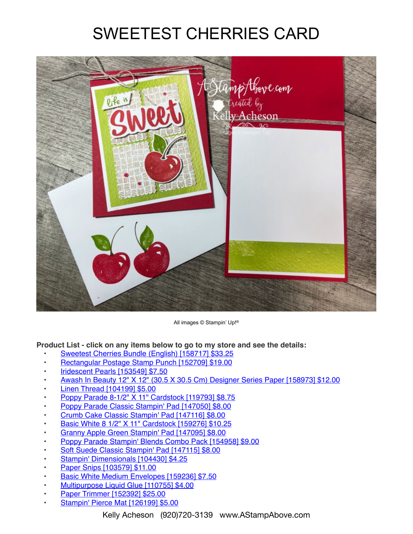## SWEETEST CHERRIES CARD



All images © Stampin' Up!®

**Product List - click on any items below to go to my store and see the details:**

- [Sweetest Cherries Bundle \(English\) \[158717\] \\$33.25](https://www.stampinup.com/products/sweetest-cherries-bundle-english?demoid=80626)
- [Rectangular Postage Stamp Punch \[152709\] \\$19.00](https://www.stampinup.com/products/rectangular-postage-stamp-punch?demoid=80626)
- [Iridescent Pearls \[153549\] \\$7.50](https://www.stampinup.com/products/iridescent-pearls?demoid=80626)
- [Awash In Beauty 12" X 12" \(30.5 X 30.5 Cm\) Designer Series Paper \[158973\] \\$12.00](https://www.stampinup.com/products/awash-in-beauty-12-x-12-30-5-x-30-5-cm-designer-series-paper?demoid=80626)
- **[Linen Thread \[104199\] \\$5.00](https://www.stampinup.com/products/thread-linen?demoid=80626)**
- [Poppy Parade 8-1/2" X 11" Cardstock \[119793\] \\$8.75](https://www.stampinup.com/products/card-stock-8-1-2-x-11-poppy-parade?demoid=80626)
- [Poppy Parade Classic Stampin' Pad \[147050\] \\$8.00](https://www.stampinup.com/products/classic-stampin-pad-poppy-parade?demoid=80626)
- [Crumb Cake Classic Stampin' Pad \[147116\] \\$8.00](https://www.stampinup.com/products/classic-stampin-pad-crumb-cake?demoid=80626)
- [Basic White 8 1/2" X 11" Cardstock \[159276\] \\$10.25](https://www.stampinup.com/products/basic-white-8-1-2-x-11-cardstock?demoid=80626)
- [Granny Apple Green Stampin' Pad \[147095\] \\$8.00](https://www.stampinup.com/products/classic-stampin-pad-granny-apple-green?demoid=80626)
- [Poppy Parade Stampin' Blends Combo Pack \[154958\] \\$9.00](https://www.stampinup.com/products/poppy-parade-stampin-blends-combo-pack?demoid=80626)
- [Soft Suede Classic Stampin' Pad \[147115\] \\$8.00](https://www.stampinup.com/products/classic-stampin-pad-soft-suede?demoid=80626)
- [Stampin' Dimensionals \[104430\] \\$4.25](https://www.stampinup.com/products/stampin-dimensionals?demoid=80626)
- [Paper Snips \[103579\] \\$11.00](https://www.stampinup.com/products/scissors-paper-snips?demoid=80626)
- [Basic White Medium Envelopes \[159236\] \\$7.50](https://www.stampinup.com/products/basic-white-medium-envelopes?demoid=80626)
- [Multipurpose Liquid Glue \[110755\] \\$4.00](https://www.stampinup.com/products/glue-liquid-multipurpose?demoid=80626)
- [Paper Trimmer \[152392\] \\$25.00](https://www.stampinup.com/products/paper-trimmer?demoid=80626)
- [Stampin' Pierce Mat \[126199\] \\$5.00](https://www.stampinup.com/products/stampin-pierce-mat?demoid=80626)